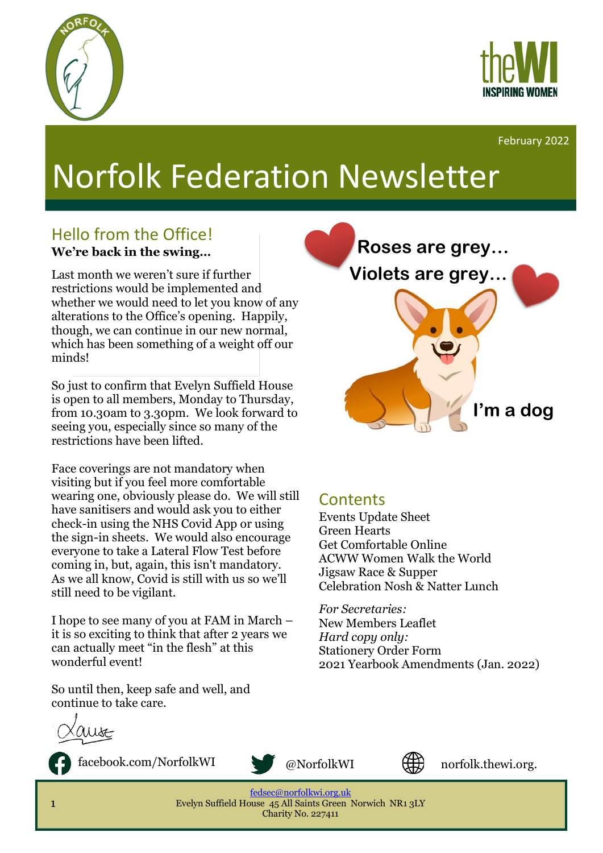



February 2022

# Norfolk Federation Newsletter

### Hello from the Office! **We're back in the swing…**

Last month we weren't sure if further restrictions would be implemented and whether we would need to let you know of any alterations to the Office's opening. Happily, though, we can continue in our new normal, which has been something of a weight off our minds!

So just to confirm that Evelyn Suffield House is open to all members, Monday to Thursday, from 10.30am to 3.30pm. We look forward to seeing you, especially since so many of the restrictions have been lifted.

Face coverings are not mandatory when visiting but if you feel more comfortable wearing one, obviously please do. We will still have sanitisers and would ask you to either check-in using the NHS Covid App or using the sign-in sheets. We would also encourage everyone to take a Lateral Flow Test before coming in, but, again, this isn't mandatory. As we all know, Covid is still with us so we'll still need to be vigilant.

I hope to see many of you at FAM in March – it is so exciting to think that after 2 years we can actually meet "in the flesh" at this wonderful event!

So until then, keep safe and well, and continue to take care.

Wst

facebook.com/NorfolkWI @NorfolkWI





uk

norfolk.thewi.org.

[fedsec@norfolkwi.org.uk](mailto:fedsec@norfolkwi.org.uk)  Evelyn Suffield House 45 All Saints Green Norwich NR1 3LY Charity No. 227411



#### **Contents**

Events Update Sheet Green Hearts Get Comfortable Online ACWW Women Walk the World Jigsaw Race & Supper Celebration Nosh & Natter Lunch

*For Secretaries:* New Members Leaflet *Hard copy only:* Stationery Order Form 2021 Yearbook Amendments (Jan. 2022)